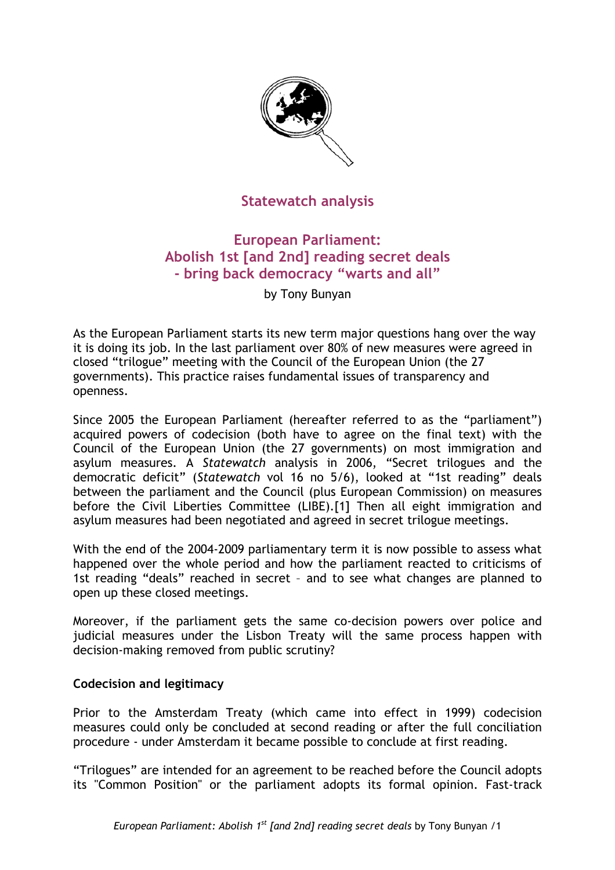

# **Statewatch analysis**

# **European Parliament: Abolish 1st [and 2nd] reading secret deals - bring back democracy "warts and all"**

by Tony Bunyan

As the European Parliament starts its new term major questions hang over the way it is doing its job. In the last parliament over 80% of new measures were agreed in closed "trilogue" meeting with the Council of the European Union (the 27 governments). This practice raises fundamental issues of transparency and openness.

Since 2005 the European Parliament (hereafter referred to as the "parliament") acquired powers of codecision (both have to agree on the final text) with the Council of the European Union (the 27 governments) on most immigration and asylum measures. A *Statewatch* analysis in 2006, "Secret trilogues and the democratic deficit" (*Statewatch* vol 16 no 5/6), looked at "1st reading" deals between the parliament and the Council (plus European Commission) on measures before the Civil Liberties Committee (LIBE).[1] Then all eight immigration and asylum measures had been negotiated and agreed in secret trilogue meetings.

With the end of the 2004-2009 parliamentary term it is now possible to assess what happened over the whole period and how the parliament reacted to criticisms of 1st reading "deals" reached in secret – and to see what changes are planned to open up these closed meetings.

Moreover, if the parliament gets the same co-decision powers over police and judicial measures under the Lisbon Treaty will the same process happen with decision-making removed from public scrutiny?

### **Codecision and legitimacy**

Prior to the Amsterdam Treaty (which came into effect in 1999) codecision measures could only be concluded at second reading or after the full conciliation procedure - under Amsterdam it became possible to conclude at first reading.

"Trilogues" are intended for an agreement to be reached before the Council adopts its "Common Position" or the parliament adopts its formal opinion. Fast-track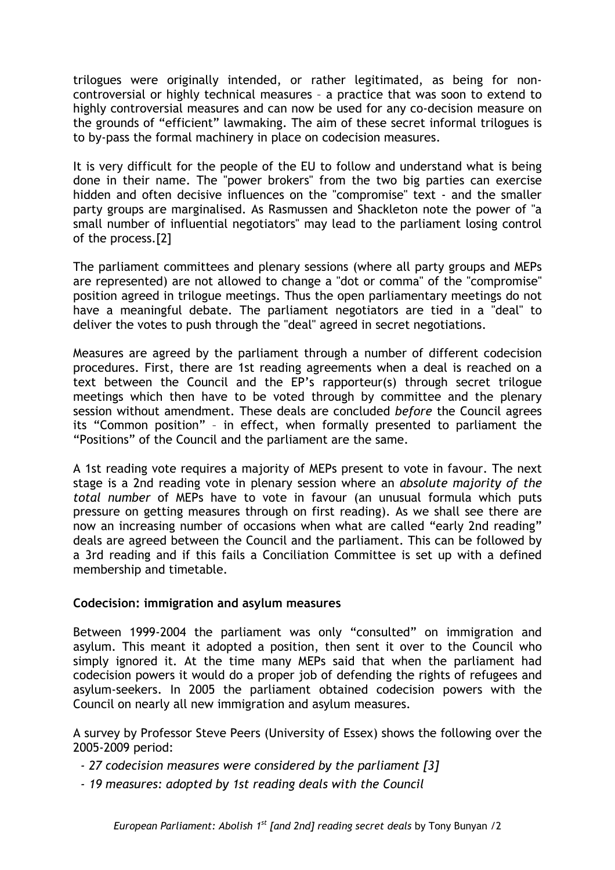trilogues were originally intended, or rather legitimated, as being for noncontroversial or highly technical measures – a practice that was soon to extend to highly controversial measures and can now be used for any co-decision measure on the grounds of "efficient" lawmaking. The aim of these secret informal trilogues is to by-pass the formal machinery in place on codecision measures.

It is very difficult for the people of the EU to follow and understand what is being done in their name. The "power brokers" from the two big parties can exercise hidden and often decisive influences on the "compromise" text - and the smaller party groups are marginalised. As Rasmussen and Shackleton note the power of "a small number of influential negotiators" may lead to the parliament losing control of the process.[2]

The parliament committees and plenary sessions (where all party groups and MEPs are represented) are not allowed to change a "dot or comma" of the "compromise" position agreed in trilogue meetings. Thus the open parliamentary meetings do not have a meaningful debate. The parliament negotiators are tied in a "deal" to deliver the votes to push through the "deal" agreed in secret negotiations.

Measures are agreed by the parliament through a number of different codecision procedures. First, there are 1st reading agreements when a deal is reached on a text between the Council and the EP's rapporteur(s) through secret trilogue meetings which then have to be voted through by committee and the plenary session without amendment. These deals are concluded *before* the Council agrees its "Common position" – in effect, when formally presented to parliament the "Positions" of the Council and the parliament are the same.

A 1st reading vote requires a majority of MEPs present to vote in favour. The next stage is a 2nd reading vote in plenary session where an *absolute majority of the total number* of MEPs have to vote in favour (an unusual formula which puts pressure on getting measures through on first reading). As we shall see there are now an increasing number of occasions when what are called "early 2nd reading" deals are agreed between the Council and the parliament. This can be followed by a 3rd reading and if this fails a Conciliation Committee is set up with a defined membership and timetable.

### **Codecision: immigration and asylum measures**

Between 1999-2004 the parliament was only "consulted" on immigration and asylum. This meant it adopted a position, then sent it over to the Council who simply ignored it. At the time many MEPs said that when the parliament had codecision powers it would do a proper job of defending the rights of refugees and asylum-seekers. In 2005 the parliament obtained codecision powers with the Council on nearly all new immigration and asylum measures.

A survey by Professor Steve Peers (University of Essex) shows the following over the 2005-2009 period:

- *27 codecision measures were considered by the parliament [3]*
- *19 measures: adopted by 1st reading deals with the Council*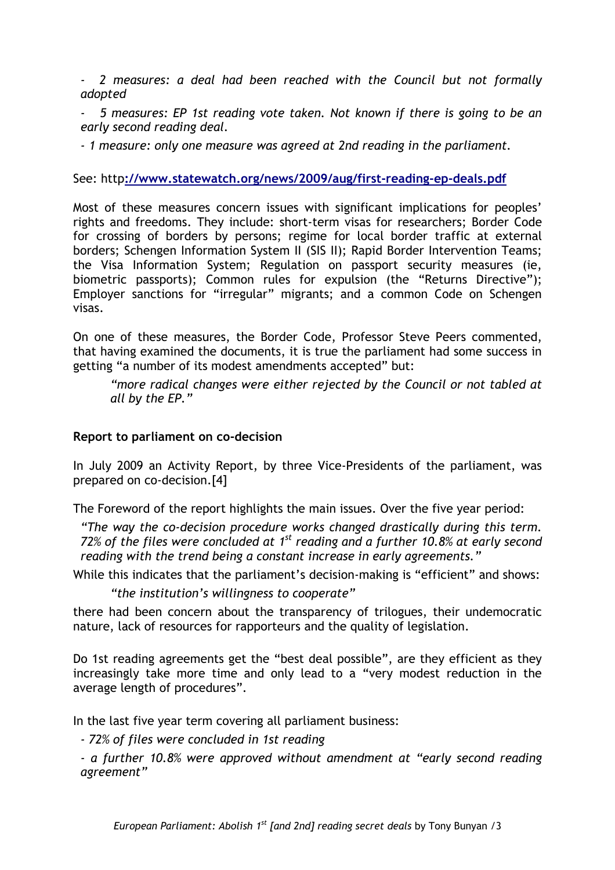*- 2 measures: a deal had been reached with the Council but not formally adopted* 

*- 5 measures: EP 1st reading vote taken. Not known if there is going to be an early second reading deal.* 

*- 1 measure: only one measure was agreed at 2nd reading in the parliament.*

#### See: http**[://www.statewatch.org/news/2009/aug/first-reading-ep-deals.pdf](http://www.statewatch.org/news/2009/aug/first-reading-ep-deals.pdf)**

Most of these measures concern issues with significant implications for peoples' rights and freedoms. They include: short-term visas for researchers; Border Code for crossing of borders by persons; regime for local border traffic at external borders; Schengen Information System II (SIS II); Rapid Border Intervention Teams; the Visa Information System; Regulation on passport security measures (ie, biometric passports); Common rules for expulsion (the "Returns Directive"); Employer sanctions for "irregular" migrants; and a common Code on Schengen visas.

On one of these measures, the Border Code, Professor Steve Peers commented, that having examined the documents, it is true the parliament had some success in getting "a number of its modest amendments accepted" but:

*"more radical changes were either rejected by the Council or not tabled at all by the EP."* 

#### **Report to parliament on co-decision**

In July 2009 an Activity Report, by three Vice-Presidents of the parliament, was prepared on co-decision.[4]

The Foreword of the report highlights the main issues. Over the five year period:

*"The way the co-decision procedure works changed drastically during this term. 72% of the files were concluded at 1st reading and a further 10.8% at early second reading with the trend being a constant increase in early agreements."* 

While this indicates that the parliament's decision-making is "efficient" and shows:

*"the institution's willingness to cooperate"* 

there had been concern about the transparency of trilogues, their undemocratic nature, lack of resources for rapporteurs and the quality of legislation.

Do 1st reading agreements get the "best deal possible", are they efficient as they increasingly take more time and only lead to a "very modest reduction in the average length of procedures".

In the last five year term covering all parliament business:

*- 72% of files were concluded in 1st reading* 

*- a further 10.8% were approved without amendment at "early second reading agreement"*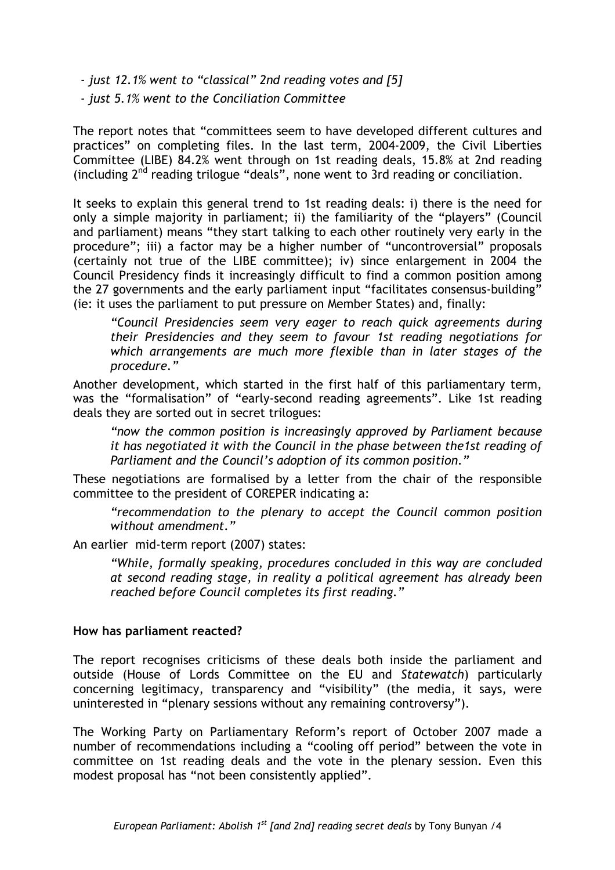*- just 12.1% went to "classical" 2nd reading votes and [5]* 

*- just 5.1% went to the Conciliation Committee* 

The report notes that "committees seem to have developed different cultures and practices" on completing files. In the last term, 2004-2009, the Civil Liberties Committee (LIBE) 84.2% went through on 1st reading deals, 15.8% at 2nd reading (including  $2<sup>nd</sup>$  reading trilogue "deals", none went to  $3$ rd reading or conciliation.

It seeks to explain this general trend to 1st reading deals: i) there is the need for only a simple majority in parliament; ii) the familiarity of the "players" (Council and parliament) means "they start talking to each other routinely very early in the procedure"; iii) a factor may be a higher number of "uncontroversial" proposals (certainly not true of the LIBE committee); iv) since enlargement in 2004 the Council Presidency finds it increasingly difficult to find a common position among the 27 governments and the early parliament input "facilitates consensus-building" (ie: it uses the parliament to put pressure on Member States) and, finally:

*"Council Presidencies seem very eager to reach quick agreements during their Presidencies and they seem to favour 1st reading negotiations for which arrangements are much more flexible than in later stages of the procedure."* 

Another development, which started in the first half of this parliamentary term, was the "formalisation" of "early-second reading agreements". Like 1st reading deals they are sorted out in secret trilogues:

*"now the common position is increasingly approved by Parliament because it has negotiated it with the Council in the phase between the1st reading of Parliament and the Council's adoption of its common position."* 

These negotiations are formalised by a letter from the chair of the responsible committee to the president of COREPER indicating a:

*"recommendation to the plenary to accept the Council common position without amendment."* 

An earlier mid-term report (2007) states:

*"While, formally speaking, procedures concluded in this way are concluded at second reading stage, in reality a political agreement has already been reached before Council completes its first reading."* 

#### **How has parliament reacted?**

The report recognises criticisms of these deals both inside the parliament and outside (House of Lords Committee on the EU and *Statewatch*) particularly concerning legitimacy, transparency and "visibility" (the media, it says, were uninterested in "plenary sessions without any remaining controversy").

The Working Party on Parliamentary Reform's report of October 2007 made a number of recommendations including a "cooling off period" between the vote in committee on 1st reading deals and the vote in the plenary session. Even this modest proposal has "not been consistently applied".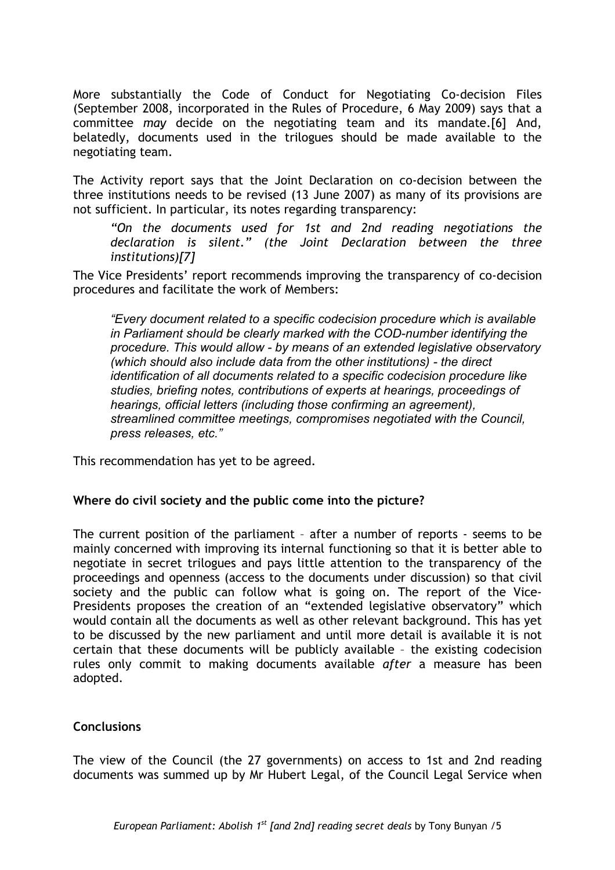More substantially the Code of Conduct for Negotiating Co-decision Files (September 2008, incorporated in the Rules of Procedure, 6 May 2009) says that a committee *may* decide on the negotiating team and its mandate.[6] And, belatedly, documents used in the trilogues should be made available to the negotiating team.

The Activity report says that the Joint Declaration on co-decision between the three institutions needs to be revised (13 June 2007) as many of its provisions are not sufficient. In particular, its notes regarding transparency:

*"On the documents used for 1st and 2nd reading negotiations the declaration is silent." (the Joint Declaration between the three institutions)[7]* 

The Vice Presidents' report recommends improving the transparency of co-decision procedures and facilitate the work of Members:

*"Every document related to a specific codecision procedure which is available in Parliament should be clearly marked with the COD-number identifying the procedure. This would allow - by means of an extended legislative observatory (which should also include data from the other institutions) - the direct identification of all documents related to a specific codecision procedure like studies, briefing notes, contributions of experts at hearings, proceedings of hearings, official letters (including those confirming an agreement), streamlined committee meetings, compromises negotiated with the Council, press releases, etc."*

This recommendation has yet to be agreed.

### **Where do civil society and the public come into the picture?**

The current position of the parliament – after a number of reports - seems to be mainly concerned with improving its internal functioning so that it is better able to negotiate in secret trilogues and pays little attention to the transparency of the proceedings and openness (access to the documents under discussion) so that civil society and the public can follow what is going on. The report of the Vice-Presidents proposes the creation of an "extended legislative observatory" which would contain all the documents as well as other relevant background. This has yet to be discussed by the new parliament and until more detail is available it is not certain that these documents will be publicly available – the existing codecision rules only commit to making documents available *after* a measure has been adopted.

### **Conclusions**

The view of the Council (the 27 governments) on access to 1st and 2nd reading documents was summed up by Mr Hubert Legal, of the Council Legal Service when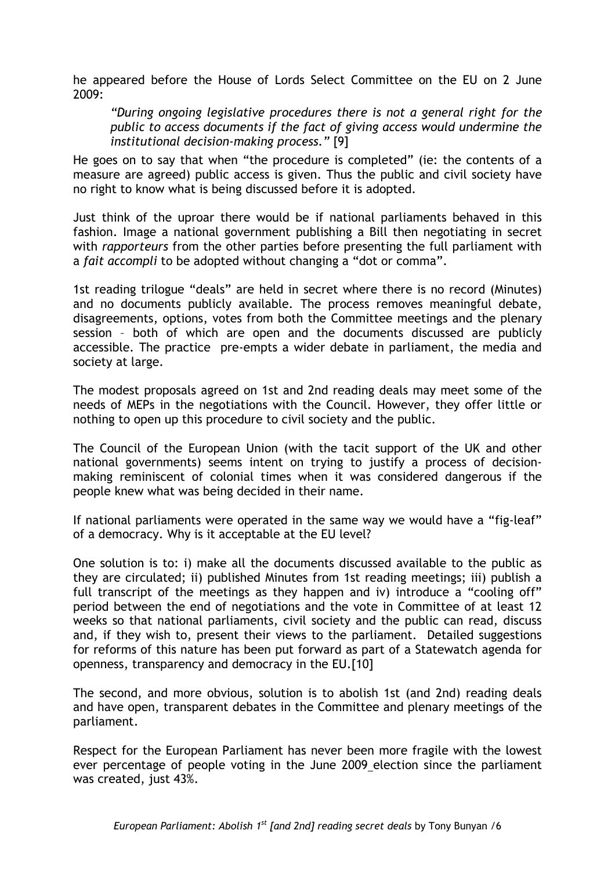he appeared before the House of Lords Select Committee on the EU on 2 June 2009:

*"During ongoing legislative procedures there is not a general right for the public to access documents if the fact of giving access would undermine the institutional decision-making process."* [9]

He goes on to say that when "the procedure is completed" (ie: the contents of a measure are agreed) public access is given. Thus the public and civil society have no right to know what is being discussed before it is adopted.

Just think of the uproar there would be if national parliaments behaved in this fashion. Image a national government publishing a Bill then negotiating in secret with *rapporteurs* from the other parties before presenting the full parliament with a *fait accompli* to be adopted without changing a "dot or comma".

1st reading trilogue "deals" are held in secret where there is no record (Minutes) and no documents publicly available. The process removes meaningful debate, disagreements, options, votes from both the Committee meetings and the plenary session – both of which are open and the documents discussed are publicly accessible. The practice pre-empts a wider debate in parliament, the media and society at large.

The modest proposals agreed on 1st and 2nd reading deals may meet some of the needs of MEPs in the negotiations with the Council. However, they offer little or nothing to open up this procedure to civil society and the public.

The Council of the European Union (with the tacit support of the UK and other national governments) seems intent on trying to justify a process of decisionmaking reminiscent of colonial times when it was considered dangerous if the people knew what was being decided in their name.

If national parliaments were operated in the same way we would have a "fig-leaf" of a democracy. Why is it acceptable at the EU level?

One solution is to: i) make all the documents discussed available to the public as they are circulated; ii) published Minutes from 1st reading meetings; iii) publish a full transcript of the meetings as they happen and iv) introduce a "cooling off" period between the end of negotiations and the vote in Committee of at least 12 weeks so that national parliaments, civil society and the public can read, discuss and, if they wish to, present their views to the parliament. Detailed suggestions for reforms of this nature has been put forward as part of a Statewatch agenda for openness, transparency and democracy in the EU.[10]

The second, and more obvious, solution is to abolish 1st (and 2nd) reading deals and have open, transparent debates in the Committee and plenary meetings of the parliament.

Respect for the European Parliament has never been more fragile with the lowest ever percentage of people voting in the June 2009 election since the parliament was created, just 43%.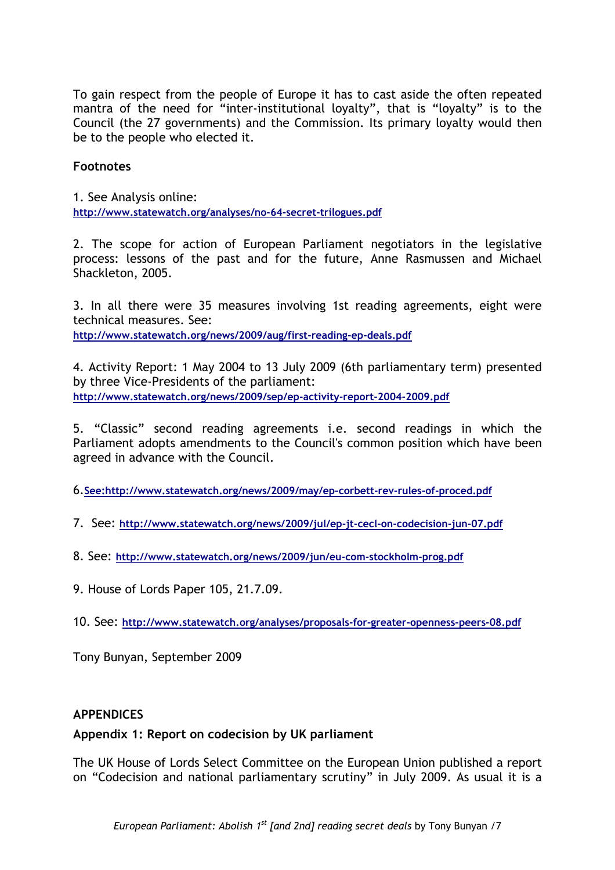To gain respect from the people of Europe it has to cast aside the often repeated mantra of the need for "inter-institutional loyalty", that is "loyalty" is to the Council (the 27 governments) and the Commission. Its primary loyalty would then be to the people who elected it.

## **Footnotes**

1. See Analysis online: **<http://www.statewatch.org/analyses/no-64-secret-trilogues.pdf>**

2. The scope for action of European Parliament negotiators in the legislative process: lessons of the past and for the future, Anne Rasmussen and Michael Shackleton, 2005.

3. In all there were 35 measures involving 1st reading agreements, eight were technical measures. See: **<http://www.statewatch.org/news/2009/aug/first-reading-ep-deals.pdf>**

4. Activity Report: 1 May 2004 to 13 July 2009 (6th parliamentary term) presented by three Vice-Presidents of the parliament: **<http://www.statewatch.org/news/2009/sep/ep-activity-report-2004-2009.pdf>**

5. "Classic" second reading agreements i.e. second readings in which the Parliament adopts amendments to the Council's common position which have been agreed in advance with the Council.

6.**See:<http://www.statewatch.org/news/2009/may/ep-corbett-rev-rules-of-proced.pdf>**

- 7. See: **<http://www.statewatch.org/news/2009/jul/ep-jt-cecl-on-codecision-jun-07.pdf>**
- 8. See: **<http://www.statewatch.org/news/2009/jun/eu-com-stockholm-prog.pdf>**
- 9. House of Lords Paper 105, 21.7.09.

10. See: **<http://www.statewatch.org/analyses/proposals-for-greater-openness-peers-08.pdf>**

Tony Bunyan, September 2009

### **APPENDICES**

### **Appendix 1: Report on codecision by UK parliament**

The UK House of Lords Select Committee on the European Union published a report on "Codecision and national parliamentary scrutiny" in July 2009. As usual it is a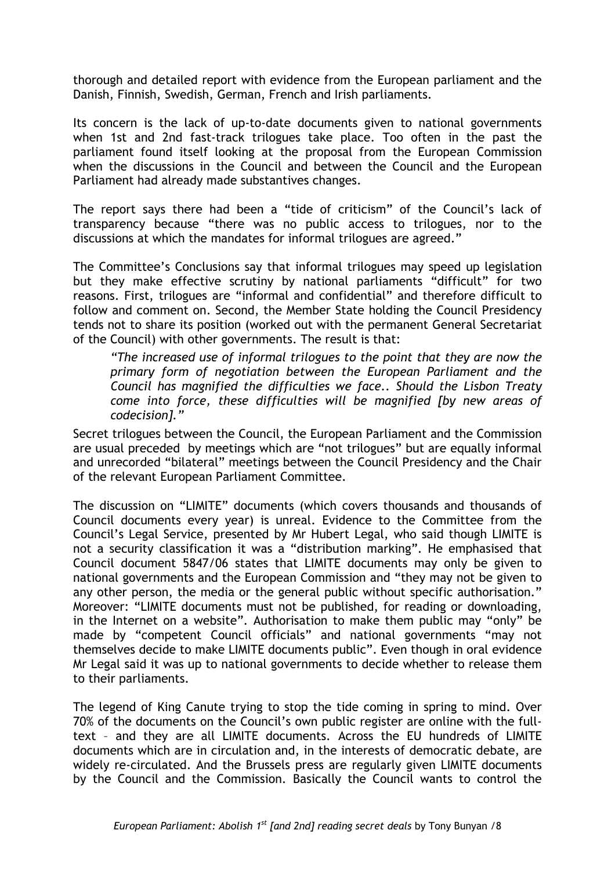thorough and detailed report with evidence from the European parliament and the Danish, Finnish, Swedish, German, French and Irish parliaments.

Its concern is the lack of up-to-date documents given to national governments when 1st and 2nd fast-track trilogues take place. Too often in the past the parliament found itself looking at the proposal from the European Commission when the discussions in the Council and between the Council and the European Parliament had already made substantives changes.

The report says there had been a "tide of criticism" of the Council's lack of transparency because "there was no public access to trilogues, nor to the discussions at which the mandates for informal trilogues are agreed."

The Committee's Conclusions say that informal trilogues may speed up legislation but they make effective scrutiny by national parliaments "difficult" for two reasons. First, trilogues are "informal and confidential" and therefore difficult to follow and comment on. Second, the Member State holding the Council Presidency tends not to share its position (worked out with the permanent General Secretariat of the Council) with other governments. The result is that:

*"The increased use of informal trilogues to the point that they are now the primary form of negotiation between the European Parliament and the Council has magnified the difficulties we face.. Should the Lisbon Treaty come into force, these difficulties will be magnified [by new areas of codecision]."* 

Secret trilogues between the Council, the European Parliament and the Commission are usual preceded by meetings which are "not trilogues" but are equally informal and unrecorded "bilateral" meetings between the Council Presidency and the Chair of the relevant European Parliament Committee.

The discussion on "LIMITE" documents (which covers thousands and thousands of Council documents every year) is unreal. Evidence to the Committee from the Council's Legal Service, presented by Mr Hubert Legal, who said though LIMITE is not a security classification it was a "distribution marking". He emphasised that Council document 5847/06 states that LIMITE documents may only be given to national governments and the European Commission and "they may not be given to any other person, the media or the general public without specific authorisation." Moreover: "LIMITE documents must not be published, for reading or downloading, in the Internet on a website". Authorisation to make them public may "only" be made by "competent Council officials" and national governments "may not themselves decide to make LIMITE documents public". Even though in oral evidence Mr Legal said it was up to national governments to decide whether to release them to their parliaments.

The legend of King Canute trying to stop the tide coming in spring to mind. Over 70% of the documents on the Council's own public register are online with the fulltext – and they are all LIMITE documents. Across the EU hundreds of LIMITE documents which are in circulation and, in the interests of democratic debate, are widely re-circulated. And the Brussels press are regularly given LIMITE documents by the Council and the Commission. Basically the Council wants to control the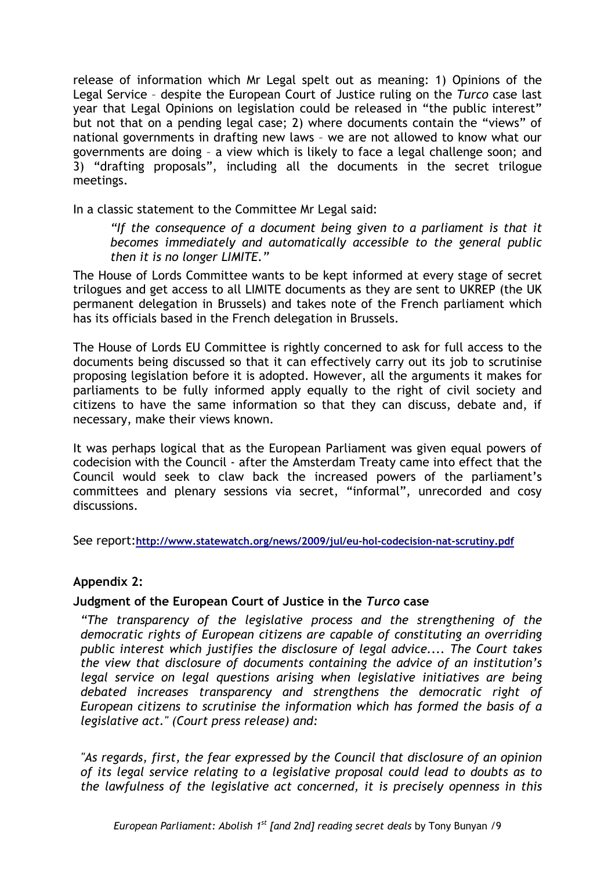release of information which Mr Legal spelt out as meaning: 1) Opinions of the Legal Service – despite the European Court of Justice ruling on the *Turco* case last year that Legal Opinions on legislation could be released in "the public interest" but not that on a pending legal case; 2) where documents contain the "views" of national governments in drafting new laws – we are not allowed to know what our governments are doing – a view which is likely to face a legal challenge soon; and 3) "drafting proposals", including all the documents in the secret trilogue meetings.

In a classic statement to the Committee Mr Legal said:

*"If the consequence of a document being given to a parliament is that it becomes immediately and automatically accessible to the general public then it is no longer LIMITE."* 

The House of Lords Committee wants to be kept informed at every stage of secret trilogues and get access to all LIMITE documents as they are sent to UKREP (the UK permanent delegation in Brussels) and takes note of the French parliament which has its officials based in the French delegation in Brussels.

The House of Lords EU Committee is rightly concerned to ask for full access to the documents being discussed so that it can effectively carry out its job to scrutinise proposing legislation before it is adopted. However, all the arguments it makes for parliaments to be fully informed apply equally to the right of civil society and citizens to have the same information so that they can discuss, debate and, if necessary, make their views known.

It was perhaps logical that as the European Parliament was given equal powers of codecision with the Council - after the Amsterdam Treaty came into effect that the Council would seek to claw back the increased powers of the parliament's committees and plenary sessions via secret, "informal", unrecorded and cosy discussions.

See report:**<http://www.statewatch.org/news/2009/jul/eu-hol-codecision-nat-scrutiny.pdf>**

## **Appendix 2:**

## **Judgment of the European Court of Justice in the** *Turco* **case**

*"The transparency of the legislative process and the strengthening of the democratic rights of European citizens are capable of constituting an overriding public interest which justifies the disclosure of legal advice.... The Court takes the view that disclosure of documents containing the advice of an institution's legal service on legal questions arising when legislative initiatives are being debated increases transparency and strengthens the democratic right of European citizens to scrutinise the information which has formed the basis of a legislative act." (Court press release) and:* 

*"As regards, first, the fear expressed by the Council that disclosure of an opinion of its legal service relating to a legislative proposal could lead to doubts as to the lawfulness of the legislative act concerned, it is precisely openness in this*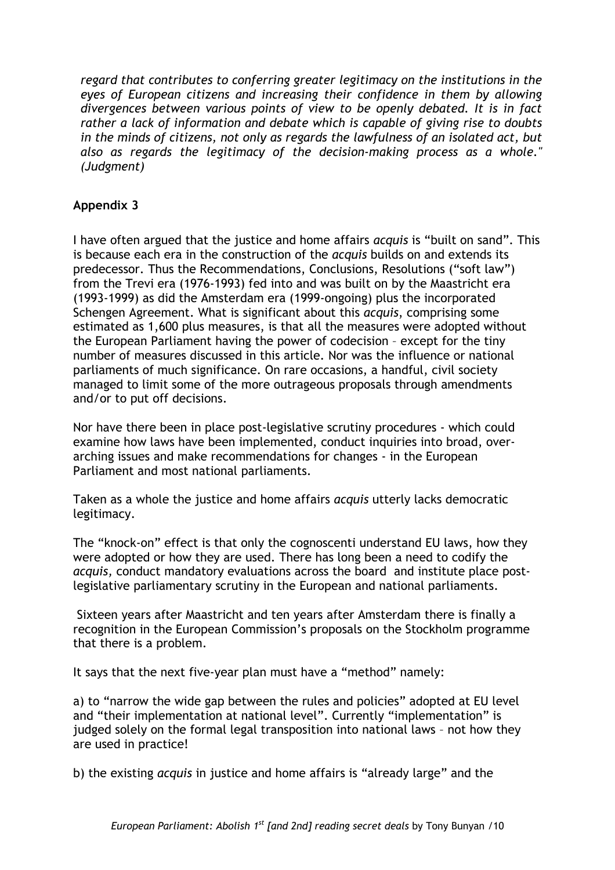*regard that contributes to conferring greater legitimacy on the institutions in the eyes of European citizens and increasing their confidence in them by allowing divergences between various points of view to be openly debated. It is in fact rather a lack of information and debate which is capable of giving rise to doubts in the minds of citizens, not only as regards the lawfulness of an isolated act, but also as regards the legitimacy of the decision-making process as a whole." (Judgment)* 

# **Appendix 3**

I have often argued that the justice and home affairs *acquis* is "built on sand". This is because each era in the construction of the *acquis* builds on and extends its predecessor. Thus the Recommendations, Conclusions, Resolutions ("soft law") from the Trevi era (1976-1993) fed into and was built on by the Maastricht era (1993-1999) as did the Amsterdam era (1999-ongoing) plus the incorporated Schengen Agreement. What is significant about this *acquis*, comprising some estimated as 1,600 plus measures, is that all the measures were adopted without the European Parliament having the power of codecision – except for the tiny number of measures discussed in this article. Nor was the influence or national parliaments of much significance. On rare occasions, a handful, civil society managed to limit some of the more outrageous proposals through amendments and/or to put off decisions.

Nor have there been in place post-legislative scrutiny procedures - which could examine how laws have been implemented, conduct inquiries into broad, overarching issues and make recommendations for changes - in the European Parliament and most national parliaments.

Taken as a whole the justice and home affairs *acquis* utterly lacks democratic legitimacy.

The "knock-on" effect is that only the cognoscenti understand EU laws, how they were adopted or how they are used. There has long been a need to codify the *acquis,* conduct mandatory evaluations across the board and institute place postlegislative parliamentary scrutiny in the European and national parliaments.

 Sixteen years after Maastricht and ten years after Amsterdam there is finally a recognition in the European Commission's proposals on the Stockholm programme that there is a problem.

It says that the next five-year plan must have a "method" namely:

a) to "narrow the wide gap between the rules and policies" adopted at EU level and "their implementation at national level". Currently "implementation" is judged solely on the formal legal transposition into national laws – not how they are used in practice!

b) the existing *acquis* in justice and home affairs is "already large" and the